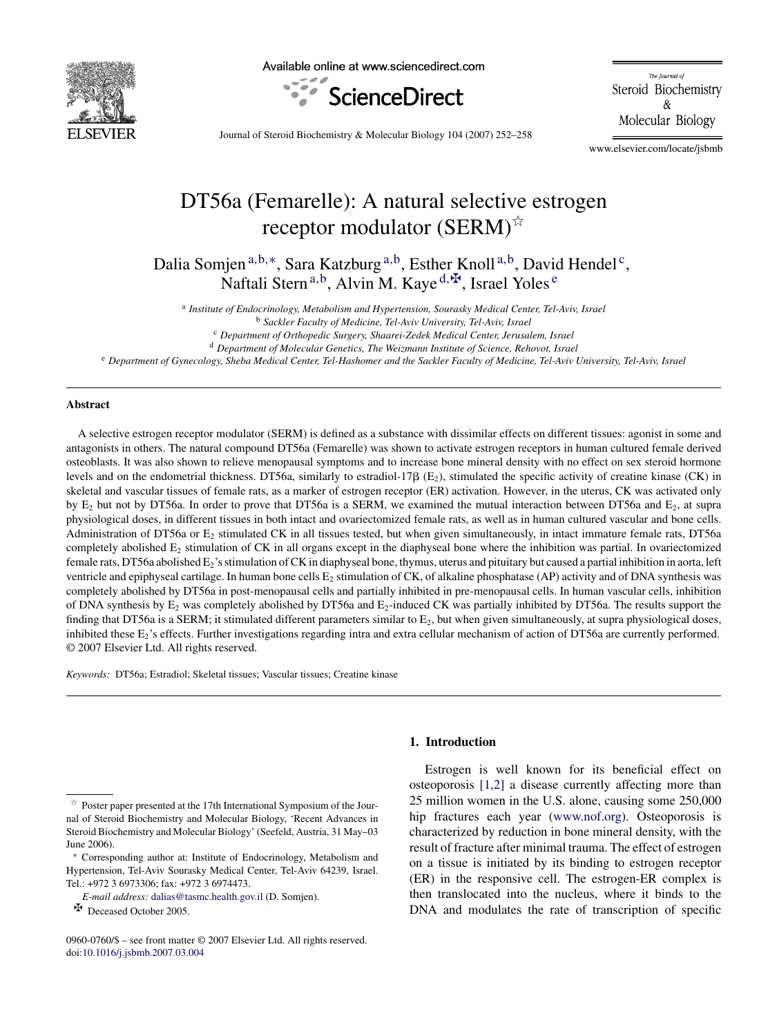

Available online at www.sciencedirect.com



The Journal of Steroid Biochemistry  $\&$ Molecular Biology

Journal of Steroid Biochemistry & Molecular Biology 104 (2007) 252–258

www.elsevier.com/locate/jsbmb

# DT56a (Femarelle): A natural selective estrogen receptor modulator (SERM) $^{\star\!\times}$

Dalia Somjen<sup>a,b,∗</sup>, Sara Katzburg<sup>a,b</sup>, Esther Knoll<sup>a,b</sup>, David Hendel<sup>c</sup>, Naftali Stern<sup>a,b</sup>, Alvin M. Kaye<sup>d, $\Phi$ </sup>, Israel Yoles<sup>e</sup>

<sup>a</sup> *Institute of Endocrinology, Metabolism and Hypertension, Sourasky Medical Center, Tel-Aviv, Israel*

<sup>c</sup> *Department of Orthopedic Surgery, Shaarei-Zedek Medical Center, Jerusalem, Israel*

<sup>d</sup> *Department of Molecular Genetics, The Weizmann Institute of Science, Rehovot, Israel*

<sup>e</sup> *Department of Gynecology, Sheba Medical Center, Tel-Hashomer and the Sackler Faculty of Medicine, Tel-Aviv University, Tel-Aviv, Israel*

## **Abstract**

A selective estrogen receptor modulator (SERM) is defined as a substance with dissimilar effects on different tissues: agonist in some and antagonists in others. The natural compound DT56a (Femarelle) was shown to activate estrogen receptors in human cultured female derived osteoblasts. It was also shown to relieve menopausal symptoms and to increase bone mineral density with no effect on sex steroid hormone levels and on the endometrial thickness. DT56a, similarly to estradiol-17 $\beta$  (E<sub>2</sub>), stimulated the specific activity of creatine kinase (CK) in skeletal and vascular tissues of female rats, as a marker of estrogen receptor (ER) activation. However, in the uterus, CK was activated only by  $E_2$  but not by DT56a. In order to prove that DT56a is a SERM, we examined the mutual interaction between DT56a and  $E_2$ , at supra physiological doses, in different tissues in both intact and ovariectomized female rats, as well as in human cultured vascular and bone cells. Administration of DT56a or E<sub>2</sub> stimulated CK in all tissues tested, but when given simultaneously, in intact immature female rats, DT56a completely abolished  $E_2$  stimulation of CK in all organs except in the diaphyseal bone where the inhibition was partial. In ovariectomized female rats, DT56a abolished  $E_2$ 's stimulation of CK in diaphyseal bone, thymus, uterus and pituitary but caused a partial inhibition in aorta, left ventricle and epiphyseal cartilage. In human bone cells  $E_2$  stimulation of CK, of alkaline phosphatase (AP) activity and of DNA synthesis was completely abolished by DT56a in post-menopausal cells and partially inhibited in pre-menopausal cells. In human vascular cells, inhibition of DNA synthesis by  $E_2$  was completely abolished by DT56a and  $E_2$ -induced CK was partially inhibited by DT56a. The results support the finding that DT56a is a SERM; it stimulated different parameters similar to  $E_2$ , but when given simultaneously, at supra physiological doses, inhibited these E<sub>2</sub>'s effects. Further investigations regarding intra and extra cellular mechanism of action of DT56a are currently performed. © 2007 Elsevier Ltd. All rights reserved.

*Keywords:* DT56a; Estradiol; Skeletal tissues; Vascular tissues; Creatine kinase

**E** Deceased October 2005.

## **1. Introduction**

Estrogen is well known for its beneficial effect on osteoporosis [\[1,2\]](#page-5-0) a disease currently affecting more than 25 million women in the U.S. alone, causing some 250,000 hip fractures each year [\(www.nof.org](http://www.nof.org/)). Osteoporosis is characterized by reduction in bone mineral density, with the result of fracture after minimal trauma. The effect of estrogen on a tissue is initiated by its binding to estrogen receptor (ER) in the responsive cell. The estrogen-ER complex is then translocated into the nucleus, where it binds to the DNA and modulates the rate of transcription of specific

<sup>b</sup> *Sackler Faculty of Medicine, Tel-Aviv University, Tel-Aviv, Israel*

 $\overrightarrow{r}$  Poster paper presented at the 17th International Symposium of the Journal of Steroid Biochemistry and Molecular Biology, 'Recent Advances in Steroid Biochemistry and Molecular Biology' (Seefeld, Austria, 31 May–03 June 2006).

<sup>∗</sup> Corresponding author at: Institute of Endocrinology, Metabolism and Hypertension, Tel-Aviv Sourasky Medical Center, Tel-Aviv 64239, Israel. Tel.: +972 3 6973306; fax: +972 3 6974473.

*E-mail address:* [dalias@tasmc.health.gov.il](mailto:dalias@tasmc.health.gov.il) (D. Somjen).

<sup>0960-0760/\$ –</sup> see front matter © 2007 Elsevier Ltd. All rights reserved. doi[:10.1016/j.jsbmb.2007.03.004](dx.doi.org/10.1016/j.jsbmb.2007.03.004)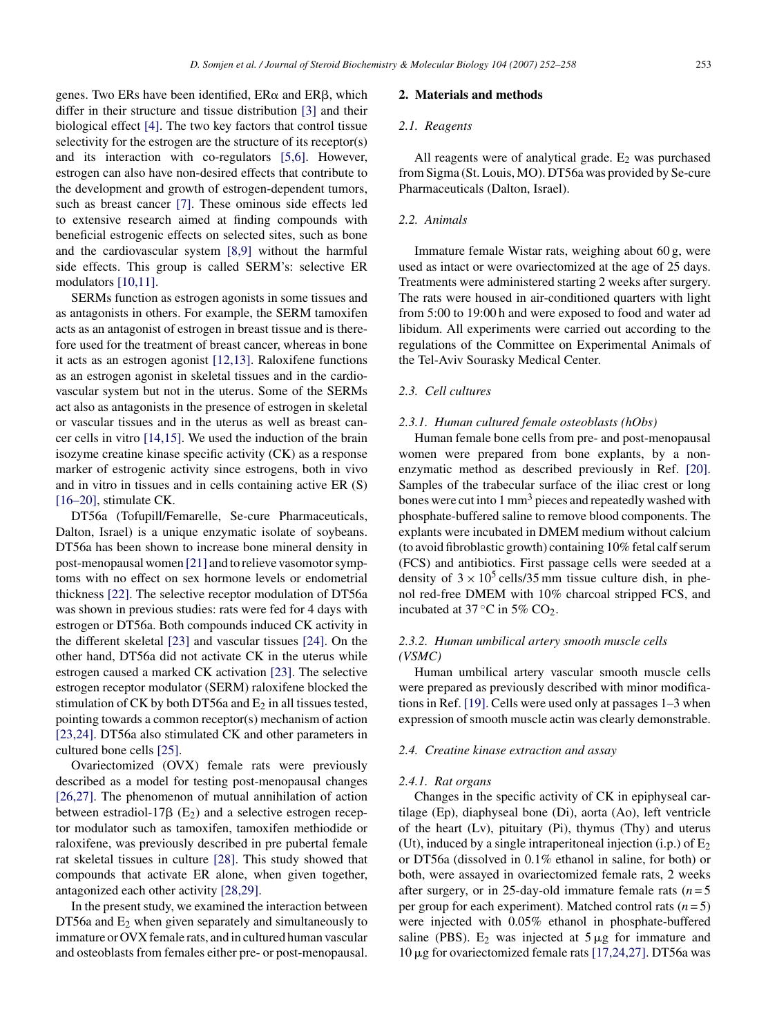genes. Two ERs have been identified,  $ER\alpha$  and  $ER\beta$ , which differ in their structure and tissue distribution [\[3\]](#page-5-0) and their biological effect [\[4\].](#page-5-0) The two key factors that control tissue selectivity for the estrogen are the structure of its receptor(s) and its interaction with co-regulators [\[5,6\].](#page-5-0) However, estrogen can also have non-desired effects that contribute to the development and growth of estrogen-dependent tumors, such as breast cancer [\[7\].](#page-5-0) These ominous side effects led to extensive research aimed at finding compounds with beneficial estrogenic effects on selected sites, such as bone and the cardiovascular system [\[8,9\]](#page-5-0) without the harmful side effects. This group is called SERM's: selective ER modulators [\[10,11\].](#page-5-0)

SERMs function as estrogen agonists in some tissues and as antagonists in others. For example, the SERM tamoxifen acts as an antagonist of estrogen in breast tissue and is therefore used for the treatment of breast cancer, whereas in bone it acts as an estrogen agonist [\[12,13\].](#page-5-0) Raloxifene functions as an estrogen agonist in skeletal tissues and in the cardiovascular system but not in the uterus. Some of the SERMs act also as antagonists in the presence of estrogen in skeletal or vascular tissues and in the uterus as well as breast cancer cells in vitro [\[14,15\].](#page-5-0) We used the induction of the brain isozyme creatine kinase specific activity (CK) as a response marker of estrogenic activity since estrogens, both in vivo and in vitro in tissues and in cells containing active ER (S) [\[16–20\],](#page-5-0) stimulate CK.

DT56a (Tofupill/Femarelle, Se-cure Pharmaceuticals, Dalton, Israel) is a unique enzymatic isolate of soybeans. DT56a has been shown to increase bone mineral density in post-menopausal women [\[21\]](#page-6-0) and to relieve vasomotor symptoms with no effect on sex hormone levels or endometrial thickness [\[22\].](#page-6-0) The selective receptor modulation of DT56a was shown in previous studies: rats were fed for 4 days with estrogen or DT56a. Both compounds induced CK activity in the different skeletal [\[23\]](#page-6-0) and vascular tissues [\[24\].](#page-6-0) On the other hand, DT56a did not activate CK in the uterus while estrogen caused a marked CK activation [\[23\]. T](#page-6-0)he selective estrogen receptor modulator (SERM) raloxifene blocked the stimulation of CK by both DT56a and  $E_2$  in all tissues tested, pointing towards a common receptor(s) mechanism of action [\[23,24\]. D](#page-6-0)T56a also stimulated CK and other parameters in cultured bone cells [\[25\].](#page-6-0)

Ovariectomized (OVX) female rats were previously described as a model for testing post-menopausal changes [\[26,27\].](#page-6-0) The phenomenon of mutual annihilation of action between estradiol-17 $\beta$  (E<sub>2</sub>) and a selective estrogen receptor modulator such as tamoxifen, tamoxifen methiodide or raloxifene, was previously described in pre pubertal female rat skeletal tissues in culture [\[28\].](#page-6-0) This study showed that compounds that activate ER alone, when given together, antagonized each other activity [\[28,29\].](#page-6-0)

In the present study, we examined the interaction between DT56a and  $E_2$  when given separately and simultaneously to immature or OVX female rats, and in cultured human vascular and osteoblasts from females either pre- or post-menopausal.

## **2. Materials and methods**

## *2.1. Reagents*

All reagents were of analytical grade.  $E_2$  was purchased from Sigma (St. Louis, MO). DT56a was provided by Se-cure Pharmaceuticals (Dalton, Israel).

## *2.2. Animals*

Immature female Wistar rats, weighing about 60 g, were used as intact or were ovariectomized at the age of 25 days. Treatments were administered starting 2 weeks after surgery. The rats were housed in air-conditioned quarters with light from 5:00 to 19:00 h and were exposed to food and water ad libidum. All experiments were carried out according to the regulations of the Committee on Experimental Animals of the Tel-Aviv Sourasky Medical Center.

## *2.3. Cell cultures*

#### *2.3.1. Human cultured female osteoblasts (hObs)*

Human female bone cells from pre- and post-menopausal women were prepared from bone explants, by a nonenzymatic method as described previously in Ref. [\[20\].](#page-6-0) Samples of the trabecular surface of the iliac crest or long bones were cut into  $1 \text{ mm}^3$  pieces and repeatedly washed with phosphate-buffered saline to remove blood components. The explants were incubated in DMEM medium without calcium (to avoid fibroblastic growth) containing 10% fetal calf serum (FCS) and antibiotics. First passage cells were seeded at a density of  $3 \times 10^5$  cells/35 mm tissue culture dish, in phenol red-free DMEM with 10% charcoal stripped FCS, and incubated at 37 $\degree$ C in 5% CO<sub>2</sub>.

## *2.3.2. Human umbilical artery smooth muscle cells (VSMC)*

Human umbilical artery vascular smooth muscle cells were prepared as previously described with minor modifications in Ref. [\[19\]. C](#page-6-0)ells were used only at passages 1–3 when expression of smooth muscle actin was clearly demonstrable.

## *2.4. Creatine kinase extraction and assay*

#### *2.4.1. Rat organs*

Changes in the specific activity of CK in epiphyseal cartilage (Ep), diaphyseal bone (Di), aorta (Ao), left ventricle of the heart (Lv), pituitary (Pi), thymus (Thy) and uterus (Ut), induced by a single intraperitoneal injection  $(i.p.)$  of  $E_2$ or DT56a (dissolved in 0.1% ethanol in saline, for both) or both, were assayed in ovariectomized female rats, 2 weeks after surgery, or in 25-day-old immature female rats  $(n=5)$ per group for each experiment). Matched control rats (*n* = 5) were injected with 0.05% ethanol in phosphate-buffered saline (PBS).  $E_2$  was injected at  $5 \mu g$  for immature and 10  $\mu$ g for ovariectomized female rats [\[17,24,27\]. D](#page-5-0)T56a was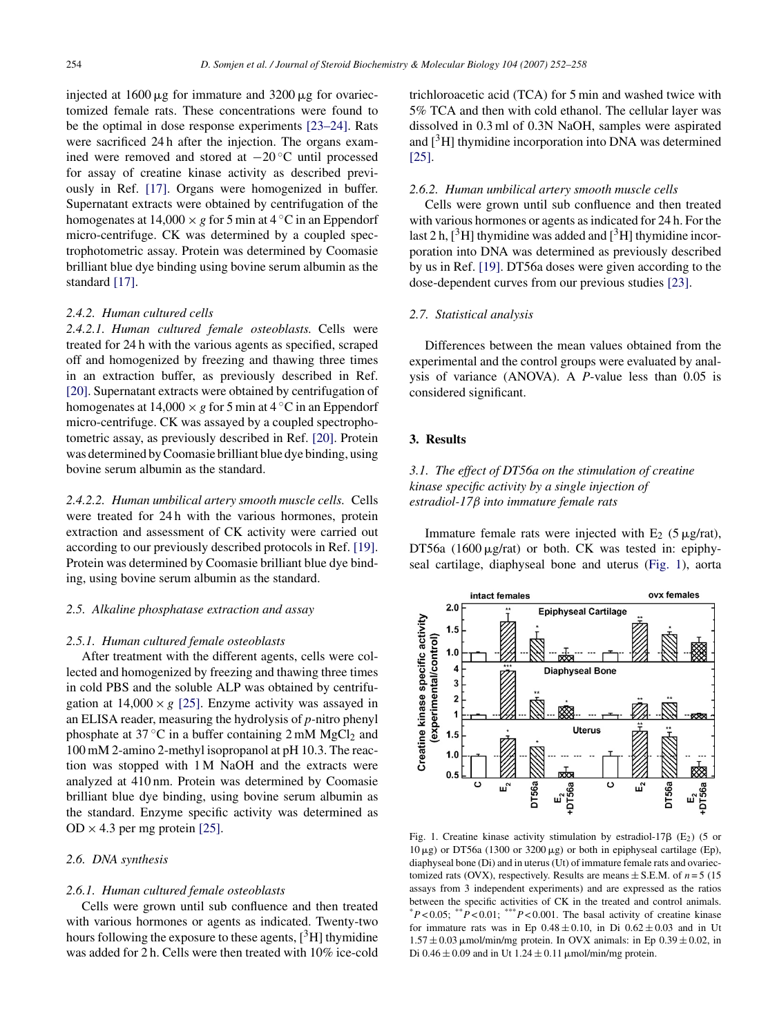<span id="page-2-0"></span>injected at  $1600 \mu$ g for immature and  $3200 \mu$ g for ovariectomized female rats. These concentrations were found to be the optimal in dose response experiments [\[23–24\].](#page-6-0) Rats were sacrificed 24 h after the injection. The organs examined were removed and stored at −20 ◦C until processed for assay of creatine kinase activity as described previously in Ref. [\[17\].](#page-5-0) Organs were homogenized in buffer. Supernatant extracts were obtained by centrifugation of the homogenates at  $14,000 \times g$  for 5 min at  $4^\circ$ C in an Eppendorf micro-centrifuge. CK was determined by a coupled spectrophotometric assay. Protein was determined by Coomasie brilliant blue dye binding using bovine serum albumin as the standard [\[17\].](#page-5-0)

## *2.4.2. Human cultured cells*

*2.4.2.1. Human cultured female osteoblasts.* Cells were treated for 24 h with the various agents as specified, scraped off and homogenized by freezing and thawing three times in an extraction buffer, as previously described in Ref. [\[20\]. S](#page-6-0)upernatant extracts were obtained by centrifugation of homogenates at  $14,000 \times g$  for 5 min at  $4^{\circ}$ C in an Eppendorf micro-centrifuge. CK was assayed by a coupled spectrophotometric assay, as previously described in Ref. [\[20\].](#page-6-0) Protein was determined by Coomasie brilliant blue dye binding, using bovine serum albumin as the standard.

*2.4.2.2. Human umbilical artery smooth muscle cells.* Cells were treated for 24 h with the various hormones, protein extraction and assessment of CK activity were carried out according to our previously described protocols in Ref. [\[19\].](#page-6-0) Protein was determined by Coomasie brilliant blue dye binding, using bovine serum albumin as the standard.

## *2.5. Alkaline phosphatase extraction and assay*

#### *2.5.1. Human cultured female osteoblasts*

After treatment with the different agents, cells were collected and homogenized by freezing and thawing three times in cold PBS and the soluble ALP was obtained by centrifugation at  $14,000 \times g$  [\[25\].](#page-6-0) Enzyme activity was assayed in an ELISA reader, measuring the hydrolysis of *p-*nitro phenyl phosphate at  $37^{\circ}$ C in a buffer containing 2 mM MgCl<sub>2</sub> and 100 mM 2-amino 2-methyl isopropanol at pH 10.3. The reaction was stopped with 1 M NaOH and the extracts were analyzed at 410 nm. Protein was determined by Coomasie brilliant blue dye binding, using bovine serum albumin as the standard. Enzyme specific activity was determined as  $OD \times 4.3$  per mg protein [\[25\].](#page-6-0)

# *2.6. DNA synthesis*

## *2.6.1. Human cultured female osteoblasts*

Cells were grown until sub confluence and then treated with various hormones or agents as indicated. Twenty-two hours following the exposure to these agents,  $[^{3}H]$  thymidine was added for 2 h. Cells were then treated with 10% ice-cold

trichloroacetic acid (TCA) for 5 min and washed twice with 5% TCA and then with cold ethanol. The cellular layer was dissolved in 0.3 ml of 0.3N NaOH, samples were aspirated and  $[3H]$  thymidine incorporation into DNA was determined [\[25\].](#page-6-0)

## *2.6.2. Human umbilical artery smooth muscle cells*

Cells were grown until sub confluence and then treated with various hormones or agents as indicated for 24 h. For the last 2 h,  $\left[\begin{array}{c}3\\1\end{array}\right]$  thymidine incorporation into DNA was determined as previously described by us in Ref. [\[19\].](#page-6-0) DT56a doses were given according to the dose-dependent curves from our previous studies [\[23\].](#page-6-0)

## *2.7. Statistical analysis*

Differences between the mean values obtained from the experimental and the control groups were evaluated by analysis of variance (ANOVA). A *P*-value less than 0.05 is considered significant.

# **3. Results**

# *3.1. The effect of DT56a on the stimulation of creatine kinase specific activity by a single injection of estradiol-17*β *into immature female rats*

Immature female rats were injected with  $E_2$  (5  $\mu$ g/rat), DT56a  $(1600 \mu g/rat)$  or both. CK was tested in: epiphyseal cartilage, diaphyseal bone and uterus (Fig. 1), aorta



Fig. 1. Creatine kinase activity stimulation by estradiol-17 $\beta$  (E<sub>2</sub>) (5 or  $10 \mu$ g) or DT56a (1300 or 3200  $\mu$ g) or both in epiphyseal cartilage (Ep), diaphyseal bone (Di) and in uterus (Ut) of immature female rats and ovariectomized rats (OVX), respectively. Results are means  $\pm$  S.E.M. of  $n = 5$  (15) assays from 3 independent experiments) and are expressed as the ratios between the specific activities of CK in the treated and control animals.  $*P<0.05$ ;  $*P<0.01$ ;  $**P<0.001$ . The basal activity of creatine kinase for immature rats was in Ep  $0.48 \pm 0.10$ , in Di  $0.62 \pm 0.03$  and in Ut  $1.57 \pm 0.03$  µmol/min/mg protein. In OVX animals: in Ep  $0.39 \pm 0.02$ , in Di 0.46  $\pm$  0.09 and in Ut 1.24  $\pm$  0.11 µmol/min/mg protein.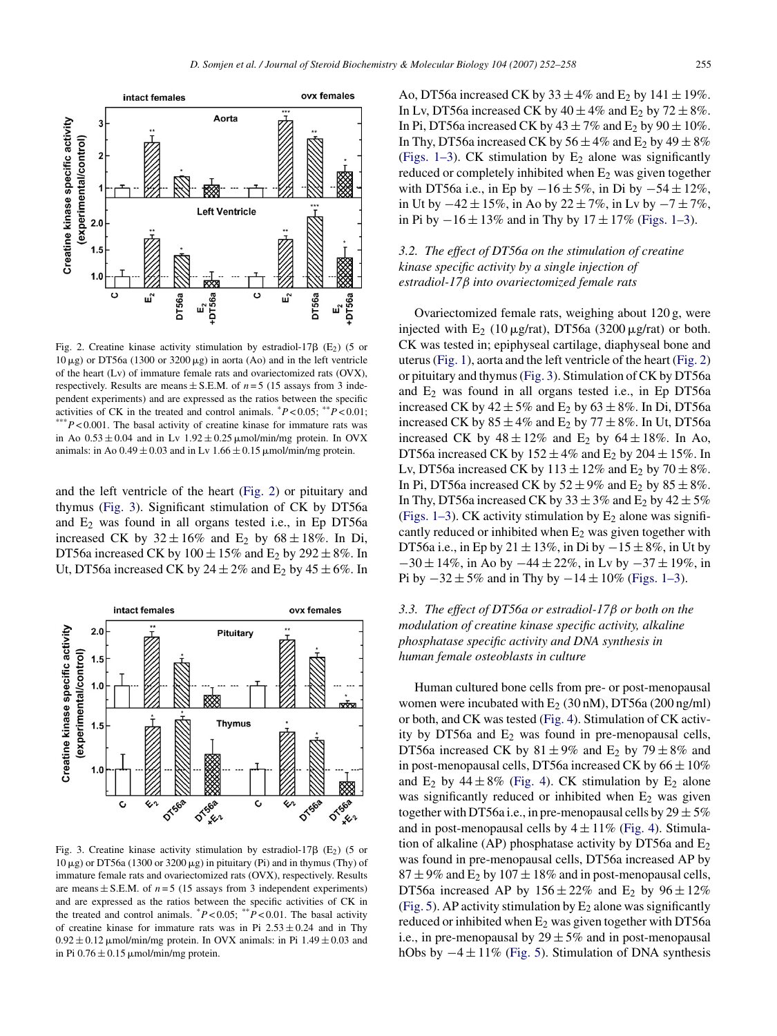

Fig. 2. Creatine kinase activity stimulation by estradiol-17 $\beta$  (E<sub>2</sub>) (5 or  $10 \,\mu$ g) or DT56a (1300 or 3200 $\mu$ g) in aorta (Ao) and in the left ventricle of the heart (Lv) of immature female rats and ovariectomized rats (OVX), respectively. Results are means  $\pm$  S.E.M. of *n* = 5 (15 assays from 3 independent experiments) and are expressed as the ratios between the specific activities of CK in the treated and control animals.  $^*P < 0.05$ ;  $^{**}P < 0.01$ ;  $*P < 0.001$ . The basal activity of creatine kinase for immature rats was in Ao  $0.53 \pm 0.04$  and in Lv  $1.92 \pm 0.25$   $\mu$ mol/min/mg protein. In OVX animals: in Ao  $0.49 \pm 0.03$  and in Lv  $1.66 \pm 0.15$  µmol/min/mg protein.

and the left ventricle of the heart (Fig. 2) or pituitary and thymus (Fig. 3). Significant stimulation of CK by DT56a and E2 was found in all organs tested i.e., in Ep DT56a increased CK by  $32 \pm 16\%$  and E<sub>2</sub> by  $68 \pm 18\%$ . In Di, DT56a increased CK by  $100 \pm 15\%$  and E<sub>2</sub> by  $292 \pm 8\%$ . In Ut, DT56a increased CK by  $24 \pm 2\%$  and E<sub>2</sub> by  $45 \pm 6\%$ . In



Fig. 3. Creatine kinase activity stimulation by estradiol-17 $\beta$  (E<sub>2</sub>) (5 or  $10 \mu$ g) or DT56a (1300 or 3200  $\mu$ g) in pituitary (Pi) and in thymus (Thy) of immature female rats and ovariectomized rats (OVX), respectively. Results are means  $\pm$  S.E.M. of  $n = 5$  (15 assays from 3 independent experiments) and are expressed as the ratios between the specific activities of CK in the treated and control animals.  $P < 0.05$ ;  $*$ *P* < 0.01. The basal activity of creatine kinase for immature rats was in Pi  $2.53 \pm 0.24$  and in Thy  $0.92 \pm 0.12$  µmol/min/mg protein. In OVX animals: in Pi 1.49  $\pm$  0.03 and in Pi  $0.76 \pm 0.15$   $\mu$ mol/min/mg protein.

Ao, DT56a increased CK by  $33 \pm 4\%$  and E<sub>2</sub> by  $141 \pm 19\%$ . In Lv, DT56a increased CK by  $40 \pm 4\%$  and E<sub>2</sub> by  $72 \pm 8\%$ . In Pi, DT56a increased CK by  $43 \pm 7\%$  and E<sub>2</sub> by  $90 \pm 10\%$ . In Thy, DT56a increased CK by  $56 \pm 4\%$  and E<sub>2</sub> by  $49 \pm 8\%$ ([Figs. 1–3\).](#page-2-0) CK stimulation by  $E_2$  alone was significantly reduced or completely inhibited when  $E_2$  was given together with DT56a i.e., in Ep by  $-16 ± 5\%$ , in Di by  $-54 ± 12\%$ , in Ut by  $-42 \pm 15\%$ , in Ao by  $22 \pm 7\%$ , in Lv by  $-7 \pm 7\%$ , in Pi by  $-16 \pm 13\%$  and in Thy by  $17 \pm 17\%$  ([Figs. 1–3\).](#page-2-0)

# *3.2. The effect of DT56a on the stimulation of creatine kinase specific activity by a single injection of estradiol-17*β *into ovariectomized female rats*

Ovariectomized female rats, weighing about 120 g, were injected with  $E_2$  (10  $\mu$ g/rat), DT56a (3200  $\mu$ g/rat) or both. CK was tested in; epiphyseal cartilage, diaphyseal bone and uterus [\(Fig. 1\),](#page-2-0) aorta and the left ventricle of the heart (Fig. 2) or pituitary and thymus (Fig. 3). Stimulation of CK by DT56a and  $E_2$  was found in all organs tested i.e., in Ep DT56a increased CK by  $42 \pm 5\%$  and E<sub>2</sub> by  $63 \pm 8\%$ . In Di, DT56a increased CK by  $85 \pm 4\%$  and E<sub>2</sub> by  $77 \pm 8\%$ . In Ut, DT56a increased CK by  $48 \pm 12\%$  and E<sub>2</sub> by  $64 \pm 18\%$ . In Ao, DT56a increased CK by  $152 \pm 4\%$  and E<sub>2</sub> by  $204 \pm 15\%$ . In Lv, DT56a increased CK by  $113 \pm 12\%$  and E<sub>2</sub> by  $70 \pm 8\%$ . In Pi, DT56a increased CK by  $52 \pm 9\%$  and E<sub>2</sub> by  $85 \pm 8\%$ . In Thy, DT56a increased CK by  $33 \pm 3\%$  and E<sub>2</sub> by  $42 \pm 5\%$ ([Figs. 1–3\).](#page-2-0) CK activity stimulation by  $E_2$  alone was significantly reduced or inhibited when  $E_2$  was given together with DT56a i.e., in Ep by 21  $\pm$  13%, in Di by  $-15 \pm 8\%$ , in Ut by  $-30 \pm 14\%$ , in Ao by  $-44 \pm 22\%$ , in Lv by  $-37 \pm 19\%$ , in Pi by  $-32 \pm 5\%$  and in Thy by  $-14 \pm 10\%$  [\(Figs. 1–3\).](#page-2-0)

# *3.3. The effect of DT56a or estradiol-17*β *or both on the modulation of creatine kinase specific activity, alkaline phosphatase specific activity and DNA synthesis in human female osteoblasts in culture*

Human cultured bone cells from pre- or post-menopausal women were incubated with  $E_2$  (30 nM), DT56a (200 ng/ml) or both, and CK was tested ([Fig. 4\).](#page-4-0) Stimulation of CK activity by DT56a and  $E_2$  was found in pre-menopausal cells, DT56a increased CK by  $81 \pm 9\%$  and E<sub>2</sub> by  $79 \pm 8\%$  and in post-menopausal cells, DT56a increased CK by  $66 \pm 10\%$ and  $E_2$  by  $44 \pm 8\%$  ([Fig. 4\).](#page-4-0) CK stimulation by  $E_2$  alone was significantly reduced or inhibited when  $E_2$  was given together with DT56a i.e., in pre-menopausal cells by  $29 \pm 5\%$ and in post-menopausal cells by  $4 \pm 11\%$  [\(Fig. 4\).](#page-4-0) Stimulation of alkaline (AP) phosphatase activity by DT56a and  $E_2$ was found in pre-menopausal cells, DT56a increased AP by  $87 \pm 9\%$  and E<sub>2</sub> by  $107 \pm 18\%$  and in post-menopausal cells, DT56a increased AP by  $156 \pm 22\%$  and E<sub>2</sub> by  $96 \pm 12\%$ ([Fig. 5\).](#page-4-0) AP activity stimulation by  $E_2$  alone was significantly reduced or inhibited when  $E_2$  was given together with DT56a i.e., in pre-menopausal by  $29 \pm 5\%$  and in post-menopausal hObs by  $-4 \pm 11\%$  ([Fig. 5\).](#page-4-0) Stimulation of DNA synthesis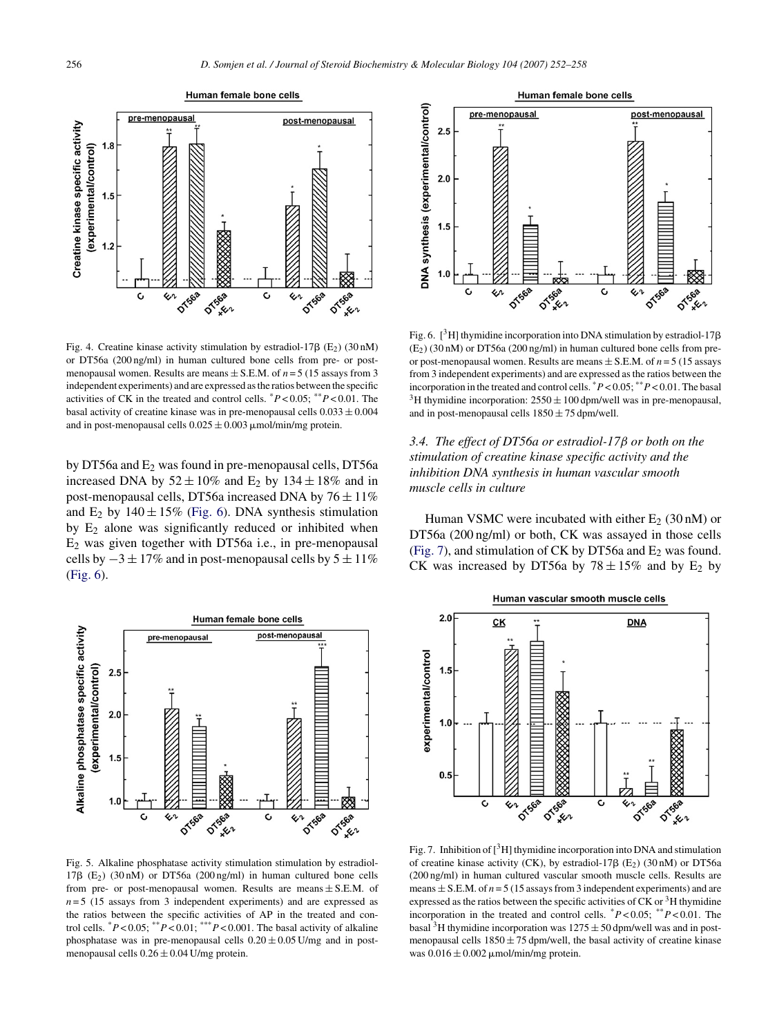<span id="page-4-0"></span>

Fig. 4. Creatine kinase activity stimulation by estradiol-17 $\beta$  (E<sub>2</sub>) (30 nM) or DT56a (200 ng/ml) in human cultured bone cells from pre- or postmenopausal women. Results are means  $\pm$  S.E.M. of  $n = 5$  (15 assays from 3) independent experiments) and are expressed as the ratios between the specific activities of CK in the treated and control cells. \**P* < 0.05; \*\**P* < 0.01. The basal activity of creatine kinase was in pre-menopausal cells  $0.033 \pm 0.004$ and in post-menopausal cells  $0.025 \pm 0.003$   $\mu$ mol/min/mg protein.

by DT56a and  $E_2$  was found in pre-menopausal cells, DT56a increased DNA by  $52 \pm 10\%$  and E<sub>2</sub> by  $134 \pm 18\%$  and in post-menopausal cells, DT56a increased DNA by  $76 \pm 11\%$ and  $E_2$  by  $140 \pm 15\%$  (Fig. 6). DNA synthesis stimulation by  $E_2$  alone was significantly reduced or inhibited when E2 was given together with DT56a i.e., in pre-menopausal cells by  $-3 \pm 17\%$  and in post-menopausal cells by  $5 \pm 11\%$ (Fig. 6).



Fig. 5. Alkaline phosphatase activity stimulation stimulation by estradiol- $17\beta$  (E<sub>2</sub>) (30 nM) or DT56a (200 ng/ml) in human cultured bone cells from pre- or post-menopausal women. Results are means  $\pm$  S.E.M. of  $n=5$  (15 assays from 3 independent experiments) and are expressed as the ratios between the specific activities of AP in the treated and control cells.  ${}^*P < 0.05$ ;  ${}^{**}P < 0.01$ ;  ${}^{**}P < 0.001$ . The basal activity of alkaline phosphatase was in pre-menopausal cells  $0.20 \pm 0.05$  U/mg and in postmenopausal cells  $0.26 \pm 0.04$  U/mg protein.



Fig. 6.  $[^{3}H]$  thymidine incorporation into DNA stimulation by estradiol-17 $\beta$  $(E_2)$  (30 nM) or DT56a (200 ng/ml) in human cultured bone cells from preor post-menopausal women. Results are means  $\pm$  S.E.M. of  $n = 5$  (15 assays from 3 independent experiments) and are expressed as the ratios between the incorporation in the treated and control cells.  $P < 0.05$ ;  $P < 0.01$ . The basal <sup>3</sup>H thymidine incorporation:  $2550 \pm 100$  dpm/well was in pre-menopausal, and in post-menopausal cells  $1850 \pm 75$  dpm/well.

*3.4. The effect of DT56a or estradiol-17*β *or both on the stimulation of creatine kinase specific activity and the inhibition DNA synthesis in human vascular smooth muscle cells in culture*

Human VSMC were incubated with either  $E_2$  (30 nM) or DT56a (200 ng/ml) or both, CK was assayed in those cells (Fig. 7), and stimulation of CK by DT56a and  $E_2$  was found. CK was increased by DT56a by  $78 \pm 15\%$  and by E<sub>2</sub> by



Fig. 7. Inhibition of  $\left[\begin{array}{c}3\\1\end{array}\right]$  thy midine incorporation into DNA and stimulation of creatine kinase activity (CK), by estradiol-17 $\beta$  (E<sub>2</sub>) (30 nM) or DT56a (200 ng/ml) in human cultured vascular smooth muscle cells. Results are means  $\pm$  S.E.M. of  $n = 5$  (15 assays from 3 independent experiments) and are expressed as the ratios between the specific activities of  $CK$  or  $3H$  thymidine incorporation in the treated and control cells.  $P < 0.05$ ;  $*$  $P < 0.01$ . The basal <sup>3</sup>H thymidine incorporation was  $1275 \pm 50$  dpm/well was and in postmenopausal cells  $1850 \pm 75$  dpm/well, the basal activity of creatine kinase was  $0.016 \pm 0.002$  umol/min/mg protein.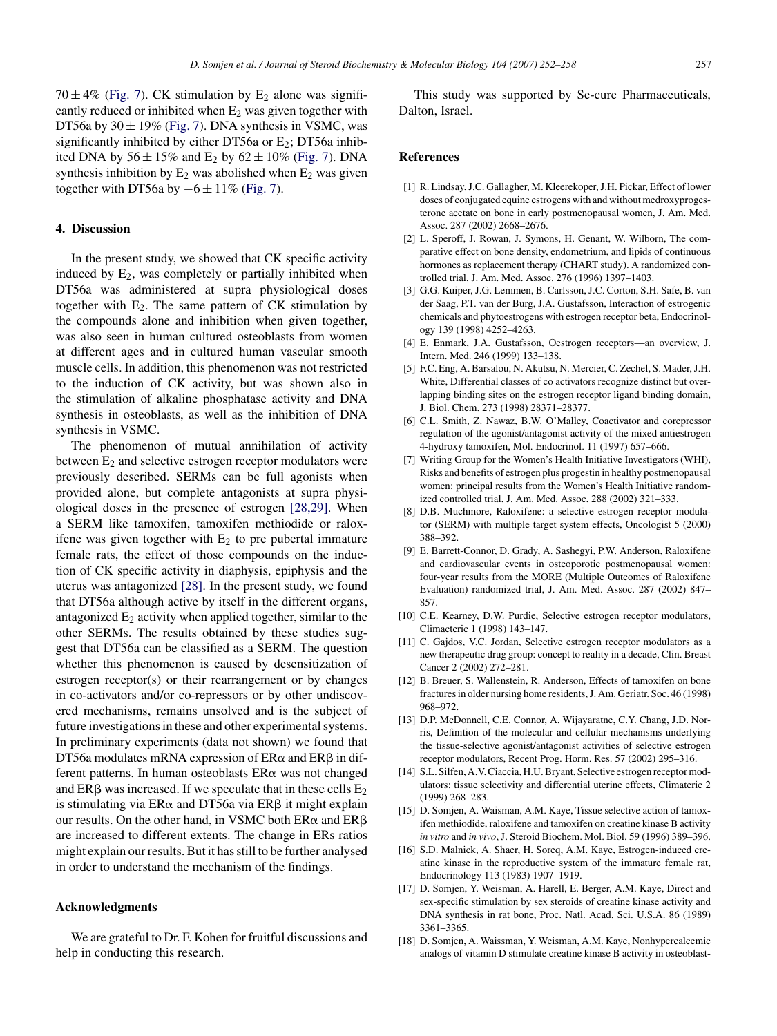<span id="page-5-0"></span> $70 \pm 4\%$  ([Fig. 7\).](#page-4-0) CK stimulation by E<sub>2</sub> alone was significantly reduced or inhibited when  $E_2$  was given together with DT56a by  $30 \pm 19\%$  ([Fig. 7\).](#page-4-0) DNA synthesis in VSMC, was significantly inhibited by either DT56a or  $E_2$ ; DT56a inhibited DNA by  $56 \pm 15\%$  and E<sub>2</sub> by  $62 \pm 10\%$  [\(Fig. 7\).](#page-4-0) DNA synthesis inhibition by  $E_2$  was abolished when  $E_2$  was given together with DT56a by  $-6 \pm 11\%$  [\(Fig. 7\).](#page-4-0)

## **4. Discussion**

In the present study, we showed that CK specific activity induced by  $E_2$ , was completely or partially inhibited when DT56a was administered at supra physiological doses together with  $E_2$ . The same pattern of CK stimulation by the compounds alone and inhibition when given together, was also seen in human cultured osteoblasts from women at different ages and in cultured human vascular smooth muscle cells. In addition, this phenomenon was not restricted to the induction of CK activity, but was shown also in the stimulation of alkaline phosphatase activity and DNA synthesis in osteoblasts, as well as the inhibition of DNA synthesis in VSMC.

The phenomenon of mutual annihilation of activity between  $E_2$  and selective estrogen receptor modulators were previously described. SERMs can be full agonists when provided alone, but complete antagonists at supra physiological doses in the presence of estrogen [\[28,29\].](#page-6-0) When a SERM like tamoxifen, tamoxifen methiodide or raloxifene was given together with  $E_2$  to pre pubertal immature female rats, the effect of those compounds on the induction of CK specific activity in diaphysis, epiphysis and the uterus was antagonized [\[28\].](#page-6-0) In the present study, we found that DT56a although active by itself in the different organs, antagonized  $E_2$  activity when applied together, similar to the other SERMs. The results obtained by these studies suggest that DT56a can be classified as a SERM. The question whether this phenomenon is caused by desensitization of estrogen receptor(s) or their rearrangement or by changes in co-activators and/or co-repressors or by other undiscovered mechanisms, remains unsolved and is the subject of future investigations in these and other experimental systems. In preliminary experiments (data not shown) we found that DT56a modulates mRNA expression of  $ER\alpha$  and  $ER\beta$  in different patterns. In human osteoblasts  $ER\alpha$  was not changed and ER $\beta$  was increased. If we speculate that in these cells  $E_2$ is stimulating via  $ER\alpha$  and DT56a via  $ER\beta$  it might explain our results. On the other hand, in VSMC both  $ER\alpha$  and  $ER\beta$ are increased to different extents. The change in ERs ratios might explain our results. But it has still to be further analysed in order to understand the mechanism of the findings.

## **Acknowledgments**

We are grateful to Dr. F. Kohen for fruitful discussions and help in conducting this research.

This study was supported by Se-cure Pharmaceuticals, Dalton, Israel.

#### **References**

- [1] R. Lindsay, J.C. Gallagher, M. Kleerekoper, J.H. Pickar, Effect of lower doses of conjugated equine estrogens with and without medroxyprogesterone acetate on bone in early postmenopausal women, J. Am. Med. Assoc. 287 (2002) 2668–2676.
- [2] L. Speroff, J. Rowan, J. Symons, H. Genant, W. Wilborn, The comparative effect on bone density, endometrium, and lipids of continuous hormones as replacement therapy (CHART study). A randomized controlled trial, J. Am. Med. Assoc. 276 (1996) 1397–1403.
- [3] G.G. Kuiper, J.G. Lemmen, B. Carlsson, J.C. Corton, S.H. Safe, B. van der Saag, P.T. van der Burg, J.A. Gustafsson, Interaction of estrogenic chemicals and phytoestrogens with estrogen receptor beta, Endocrinology 139 (1998) 4252–4263.
- [4] E. Enmark, J.A. Gustafsson, Oestrogen receptors—an overview, J. Intern. Med. 246 (1999) 133–138.
- [5] F.C. Eng, A. Barsalou, N. Akutsu, N. Mercier, C. Zechel, S. Mader, J.H. White, Differential classes of co activators recognize distinct but overlapping binding sites on the estrogen receptor ligand binding domain, J. Biol. Chem. 273 (1998) 28371–28377.
- [6] C.L. Smith, Z. Nawaz, B.W. O'Malley, Coactivator and corepressor regulation of the agonist/antagonist activity of the mixed antiestrogen 4-hydroxy tamoxifen, Mol. Endocrinol. 11 (1997) 657–666.
- [7] Writing Group for the Women's Health Initiative Investigators (WHI), Risks and benefits of estrogen plus progestin in healthy postmenopausal women: principal results from the Women's Health Initiative randomized controlled trial, J. Am. Med. Assoc. 288 (2002) 321–333.
- [8] D.B. Muchmore, Raloxifene: a selective estrogen receptor modulator (SERM) with multiple target system effects, Oncologist 5 (2000) 388–392.
- [9] E. Barrett-Connor, D. Grady, A. Sashegyi, P.W. Anderson, Raloxifene and cardiovascular events in osteoporotic postmenopausal women: four-year results from the MORE (Multiple Outcomes of Raloxifene Evaluation) randomized trial, J. Am. Med. Assoc. 287 (2002) 847– 857.
- [10] C.E. Kearney, D.W. Purdie, Selective estrogen receptor modulators, Climacteric 1 (1998) 143–147.
- [11] C. Gajdos, V.C. Jordan, Selective estrogen receptor modulators as a new therapeutic drug group: concept to reality in a decade, Clin. Breast Cancer 2 (2002) 272–281.
- [12] B. Breuer, S. Wallenstein, R. Anderson, Effects of tamoxifen on bone fractures in older nursing home residents, J. Am. Geriatr. Soc. 46 (1998) 968–972.
- [13] D.P. McDonnell, C.E. Connor, A. Wijayaratne, C.Y. Chang, J.D. Norris, Definition of the molecular and cellular mechanisms underlying the tissue-selective agonist/antagonist activities of selective estrogen receptor modulators, Recent Prog. Horm. Res. 57 (2002) 295–316.
- [14] S.L. Silfen, A.V. Ciaccia, H.U. Bryant, Selective estrogen receptor modulators: tissue selectivity and differential uterine effects, Climateric 2 (1999) 268–283.
- [15] D. Somjen, A. Waisman, A.M. Kaye, Tissue selective action of tamoxifen methiodide, raloxifene and tamoxifen on creatine kinase B activity *in vitro* and *in vivo*, J. Steroid Biochem. Mol. Biol. 59 (1996) 389–396.
- [16] S.D. Malnick, A. Shaer, H. Soreq, A.M. Kaye, Estrogen-induced creatine kinase in the reproductive system of the immature female rat, Endocrinology 113 (1983) 1907–1919.
- [17] D. Somjen, Y. Weisman, A. Harell, E. Berger, A.M. Kaye, Direct and sex-specific stimulation by sex steroids of creatine kinase activity and DNA synthesis in rat bone, Proc. Natl. Acad. Sci. U.S.A. 86 (1989) 3361–3365.
- [18] D. Somjen, A. Waissman, Y. Weisman, A.M. Kaye, Nonhypercalcemic analogs of vitamin D stimulate creatine kinase B activity in osteoblast-